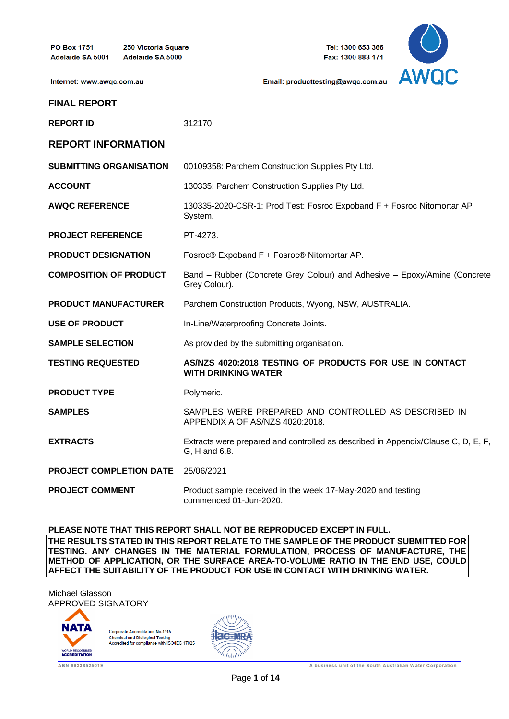Internet: www.awqc.com.au

250 Victoria Square Adelaide SA 5000

Tel: 1300 653 366 Fax: 1300 883 171



Email: producttesting@awgc.com.au

| <b>REPORT ID</b>               | 312170                                                                                             |
|--------------------------------|----------------------------------------------------------------------------------------------------|
| <b>REPORT INFORMATION</b>      |                                                                                                    |
| <b>SUBMITTING ORGANISATION</b> | 00109358: Parchem Construction Supplies Pty Ltd.                                                   |
| <b>ACCOUNT</b>                 | 130335: Parchem Construction Supplies Pty Ltd.                                                     |
| <b>AWQC REFERENCE</b>          | 130335-2020-CSR-1: Prod Test: Fosroc Expoband F + Fosroc Nitomortar AP<br>System.                  |
| <b>PROJECT REFERENCE</b>       | PT-4273.                                                                                           |
| <b>PRODUCT DESIGNATION</b>     | Fosroc® Expoband F + Fosroc® Nitomortar AP.                                                        |
| <b>COMPOSITION OF PRODUCT</b>  | Band - Rubber (Concrete Grey Colour) and Adhesive - Epoxy/Amine (Concrete<br>Grey Colour).         |
| <b>PRODUCT MANUFACTURER</b>    | Parchem Construction Products, Wyong, NSW, AUSTRALIA.                                              |
| <b>USE OF PRODUCT</b>          | In-Line/Waterproofing Concrete Joints.                                                             |
| <b>SAMPLE SELECTION</b>        | As provided by the submitting organisation.                                                        |
| <b>TESTING REQUESTED</b>       | AS/NZS 4020:2018 TESTING OF PRODUCTS FOR USE IN CONTACT<br><b>WITH DRINKING WATER</b>              |
| <b>PRODUCT TYPE</b>            | Polymeric.                                                                                         |
| <b>SAMPLES</b>                 | SAMPLES WERE PREPARED AND CONTROLLED AS DESCRIBED IN<br>APPENDIX A OF AS/NZS 4020:2018.            |
| <b>EXTRACTS</b>                | Extracts were prepared and controlled as described in Appendix/Clause C, D, E, F,<br>G, H and 6.8. |
| <b>PROJECT COMPLETION DATE</b> | 25/06/2021                                                                                         |
| <b>PROJECT COMMENT</b>         | Product sample received in the week 17-May-2020 and testing<br>commenced 01-Jun-2020.              |

**PLEASE NOTE THAT THIS REPORT SHALL NOT BE REPRODUCED EXCEPT IN FULL. THE RESULTS STATED IN THIS REPORT RELATE TO THE SAMPLE OF THE PRODUCT SUBMITTED FOR TESTING. ANY CHANGES IN THE MATERIAL FORMULATION, PROCESS OF MANUFACTURE, THE METHOD OF APPLICATION, OR THE SURFACE AREA-TO-VOLUME RATIO IN THE END USE, COULD AFFECT THE SUITABILITY OF THE PRODUCT FOR USE IN CONTACT WITH DRINKING WATER.**

Michael Glasson APPROVED SIGNATORY



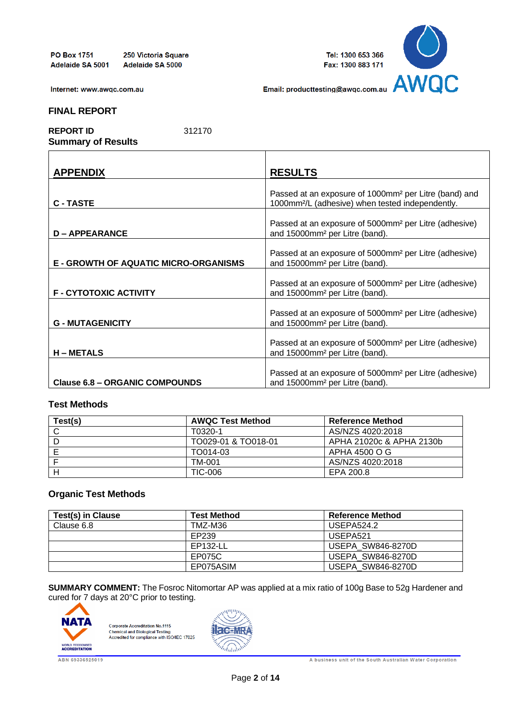250 Victoria Square Adelaide SA 5000



Email: producttesting@awgc.com.au

Internet: www.awqc.com.au

#### **FINAL REPORT**

**REPORT ID** 312170 **Summary of Results**

| <b>APPENDIX</b>                              | <b>RESULTS</b>                                                                                                                    |
|----------------------------------------------|-----------------------------------------------------------------------------------------------------------------------------------|
| <b>C-TASTE</b>                               | Passed at an exposure of 1000mm <sup>2</sup> per Litre (band) and<br>1000mm <sup>2</sup> /L (adhesive) when tested independently. |
| <b>D-APPEARANCE</b>                          | Passed at an exposure of 5000mm <sup>2</sup> per Litre (adhesive)<br>and 15000mm <sup>2</sup> per Litre (band).                   |
| <b>E - GROWTH OF AQUATIC MICRO-ORGANISMS</b> | Passed at an exposure of 5000mm <sup>2</sup> per Litre (adhesive)<br>and 15000mm <sup>2</sup> per Litre (band).                   |
| <b>F-CYTOTOXIC ACTIVITY</b>                  | Passed at an exposure of 5000mm <sup>2</sup> per Litre (adhesive)<br>and 15000mm <sup>2</sup> per Litre (band).                   |
| <b>G - MUTAGENICITY</b>                      | Passed at an exposure of 5000mm <sup>2</sup> per Litre (adhesive)<br>and 15000mm <sup>2</sup> per Litre (band).                   |
| <b>H-METALS</b>                              | Passed at an exposure of 5000mm <sup>2</sup> per Litre (adhesive)<br>and 15000mm <sup>2</sup> per Litre (band).                   |
| <b>Clause 6.8 - ORGANIC COMPOUNDS</b>        | Passed at an exposure of 5000mm <sup>2</sup> per Litre (adhesive)<br>and 15000mm <sup>2</sup> per Litre (band).                   |

### **Test Methods**

| Test(s) | <b>AWQC Test Method</b> | Reference Method         |
|---------|-------------------------|--------------------------|
|         | T0320-1                 | AS/NZS 4020:2018         |
|         | TO029-01 & TO018-01     | APHA 21020c & APHA 2130b |
|         | TO014-03                | APHA 4500 O G            |
|         | TM-001                  | AS/NZS 4020:2018         |
|         | TIC-006                 | EPA 200.8                |

## **Organic Test Methods**

| Test(s) in Clause | <b>Test Method</b> | <b>Reference Method</b>  |
|-------------------|--------------------|--------------------------|
| Clause 6.8        | TMZ-M36            | USEPA524.2               |
|                   | EP239              | USEPA <sub>521</sub>     |
|                   | EP132-LL           | <b>USEPA SW846-8270D</b> |
|                   | EP075C             | <b>USEPA SW846-8270D</b> |
|                   | EP075ASIM          | <b>USEPA SW846-8270D</b> |

**SUMMARY COMMENT:** The Fosroc Nitomortar AP was applied at a mix ratio of 100g Base to 52g Hardener and cured for 7 days at 20°C prior to testing.





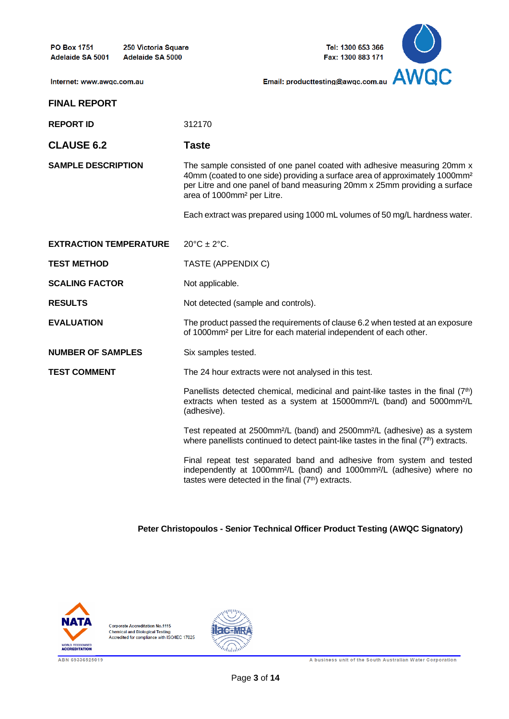250 Victoria Square Adelaide SA 5000





Internet: www.awqc.com.au

**REPORT ID** 312170

# **CLAUSE 6.2 Taste**

**SAMPLE DESCRIPTION** The sample consisted of one panel coated with adhesive measuring 20mm x 40mm (coated to one side) providing a surface area of approximately 1000mm² per Litre and one panel of band measuring 20mm x 25mm providing a surface area of 1000mm² per Litre.

Each extract was prepared using 1000 mL volumes of 50 mg/L hardness water.

| <b>EXTRACTION TEMPERATURE</b> | $20^{\circ}C \pm 2^{\circ}C$ .                                                                                                                                                                                                          |
|-------------------------------|-----------------------------------------------------------------------------------------------------------------------------------------------------------------------------------------------------------------------------------------|
| <b>TEST METHOD</b>            | TASTE (APPENDIX C)                                                                                                                                                                                                                      |
| <b>SCALING FACTOR</b>         | Not applicable.                                                                                                                                                                                                                         |
| <b>RESULTS</b>                | Not detected (sample and controls).                                                                                                                                                                                                     |
| <b>EVALUATION</b>             | The product passed the requirements of clause 6.2 when tested at an exposure<br>of 1000mm <sup>2</sup> per Litre for each material independent of each other.                                                                           |
| <b>NUMBER OF SAMPLES</b>      | Six samples tested.                                                                                                                                                                                                                     |
| <b>TEST COMMENT</b>           | The 24 hour extracts were not analysed in this test.                                                                                                                                                                                    |
|                               | Panellists detected chemical, medicinal and paint-like tastes in the final $(7th)$<br>extracts when tested as a system at 15000mm <sup>2</sup> /L (band) and 5000mm <sup>2</sup> /L<br>(adhesive).                                      |
|                               | Test repeated at 2500mm <sup>2</sup> /L (band) and 2500mm <sup>2</sup> /L (adhesive) as a system<br>where panellists continued to detect paint-like tastes in the final $(7th)$ extracts.                                               |
|                               | Final repeat test separated band and adhesive from system and tested<br>independently at 1000mm <sup>2</sup> /L (band) and 1000mm <sup>2</sup> /L (adhesive) where no<br>tastes were detected in the final (7 <sup>th</sup> ) extracts. |

**Peter Christopoulos - Senior Technical Officer Product Testing (AWQC Signatory)** 



**Corporate Accreditation No.1115** Chemical and Biological Testing<br>Accredited for compliance with ISO/IEC 17025

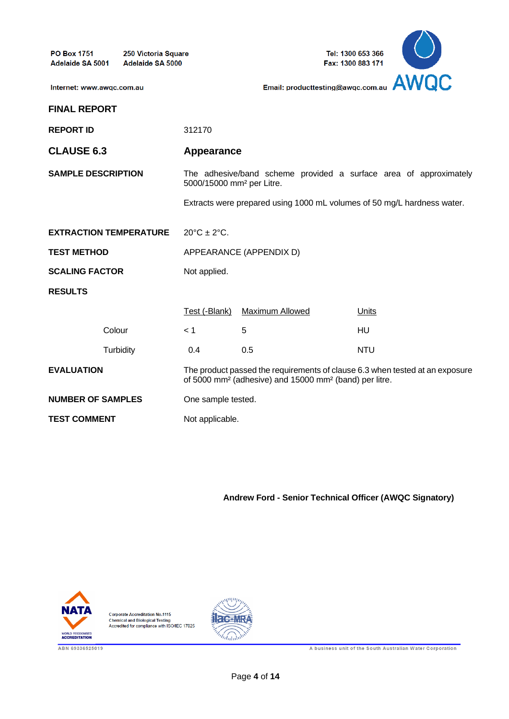**PO Box 1751** 250 Victoria Square Adelaide SA 5001 Adelaide SA 5000

Tel: 1300 653 366 Fax: 1300 883 171



Internet: www.awqc.com.au

| <b>FINAL REPORT</b> |
|---------------------|
|                     |

**REPORT ID** 312170 **CLAUSE 6.3 Appearance SAMPLE DESCRIPTION** The adhesive/band scheme provided a surface area of approximately 5000/15000 mm² per Litre. Extracts were prepared using 1000 mL volumes of 50 mg/L hardness water. **EXTRACTION TEMPERATURE** 20°C ± 2°C. **TEST METHOD APPEARANCE (APPENDIX D) SCALING FACTOR** Not applied. **RESULTS** Test (-Blank) Maximum Allowed Units Colour < 1 5 HU Turbidity 0.4 0.5 NTU **EVALUATION** The product passed the requirements of clause 6.3 when tested at an exposure of 5000 mm² (adhesive) and 15000 mm² (band) per litre. **NUMBER OF SAMPLES** One sample tested.

**TEST COMMENT** Not applicable.

**Andrew Ford - Senior Technical Officer (AWQC Signatory)**



**Corporate Accreditation No.1115** Chemical and Biological Testing<br>Accredited for compliance with ISO/IEC 17025



A business unit of the South Australian Water Corporation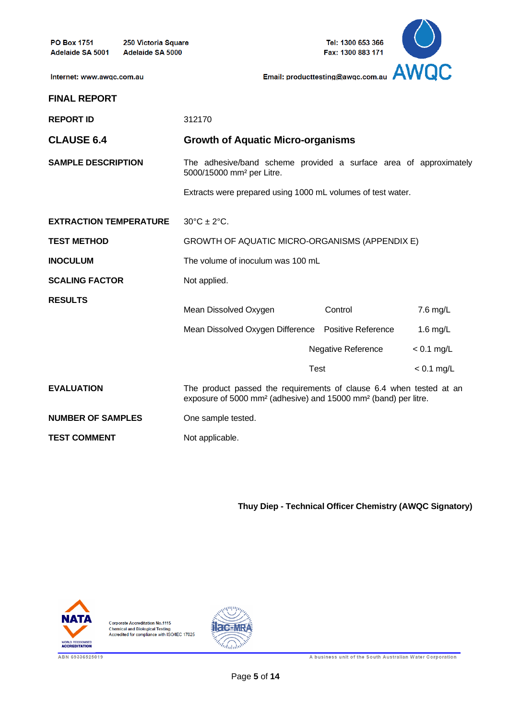**PO Box 1751** 250 Victoria Square Adelaide SA 5000 Adelaide SA 5001



Internet: www.awqc.com.au

| <b>REPORT ID</b>              | 312170                                                                                                                                                         |                           |              |  |  |
|-------------------------------|----------------------------------------------------------------------------------------------------------------------------------------------------------------|---------------------------|--------------|--|--|
| <b>CLAUSE 6.4</b>             | <b>Growth of Aquatic Micro-organisms</b>                                                                                                                       |                           |              |  |  |
| <b>SAMPLE DESCRIPTION</b>     | The adhesive/band scheme provided a surface area of approximately<br>5000/15000 mm <sup>2</sup> per Litre.                                                     |                           |              |  |  |
|                               | Extracts were prepared using 1000 mL volumes of test water.                                                                                                    |                           |              |  |  |
| <b>EXTRACTION TEMPERATURE</b> | $30^{\circ}$ C ± 2 $^{\circ}$ C.                                                                                                                               |                           |              |  |  |
| <b>TEST METHOD</b>            | GROWTH OF AQUATIC MICRO-ORGANISMS (APPENDIX E)                                                                                                                 |                           |              |  |  |
| <b>INOCULUM</b>               | The volume of inoculum was 100 mL                                                                                                                              |                           |              |  |  |
| <b>SCALING FACTOR</b>         | Not applied.                                                                                                                                                   |                           |              |  |  |
| <b>RESULTS</b>                |                                                                                                                                                                |                           |              |  |  |
|                               | Mean Dissolved Oxygen                                                                                                                                          | Control                   | 7.6 mg/L     |  |  |
|                               | Mean Dissolved Oxygen Difference Positive Reference                                                                                                            |                           | 1.6 $mg/L$   |  |  |
|                               |                                                                                                                                                                | <b>Negative Reference</b> | $< 0.1$ mg/L |  |  |
|                               | Test                                                                                                                                                           |                           | $< 0.1$ mg/L |  |  |
| <b>EVALUATION</b>             | The product passed the requirements of clause 6.4 when tested at an<br>exposure of 5000 mm <sup>2</sup> (adhesive) and 15000 mm <sup>2</sup> (band) per litre. |                           |              |  |  |
| <b>NUMBER OF SAMPLES</b>      | One sample tested.                                                                                                                                             |                           |              |  |  |
| <b>TEST COMMENT</b>           | Not applicable.                                                                                                                                                |                           |              |  |  |

**Thuy Diep - Technical Officer Chemistry (AWQC Signatory)**



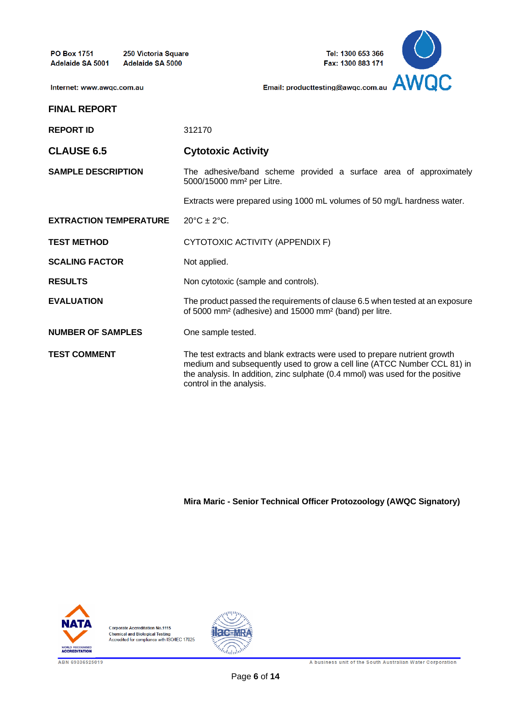250 Victoria Square Adelaide SA 5000



Internet: www.awqc.com.au

# **FINAL REPORT REPORT ID** 312170 **CLAUSE 6.5 Cytotoxic Activity SAMPLE DESCRIPTION** The adhesive/band scheme provided a surface area of approximately 5000/15000 mm² per Litre. Extracts were prepared using 1000 mL volumes of 50 mg/L hardness water. **EXTRACTION TEMPERATURE** 20°C ± 2°C. **TEST METHOD** CYTOTOXIC ACTIVITY (APPENDIX F) **SCALING FACTOR** Not applied. **RESULTS** Non cytotoxic (sample and controls). **EVALUATION** The product passed the requirements of clause 6.5 when tested at an exposure of 5000 mm² (adhesive) and 15000 mm² (band) per litre. **NUMBER OF SAMPLES** One sample tested. **TEST COMMENT** The test extracts and blank extracts were used to prepare nutrient growth medium and subsequently used to grow a cell line (ATCC Number CCL 81) in the analysis. In addition, zinc sulphate (0.4 mmol) was used for the positive control in the analysis.

**Mira Maric - Senior Technical Officer Protozoology (AWQC Signatory)**



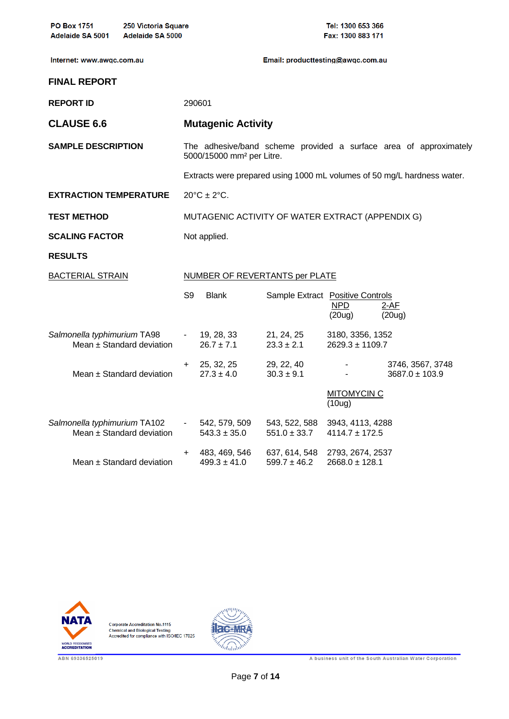| <b>PO Box 1751</b><br>Adelaide SA 5001 | 250 Victoria Square<br><b>Adelaide SA 5000</b> |                                |                                                  |                                   | Tel: 1300 653 366<br>Fax: 1300 883 171  |                                                                         |
|----------------------------------------|------------------------------------------------|--------------------------------|--------------------------------------------------|-----------------------------------|-----------------------------------------|-------------------------------------------------------------------------|
| Internet: www.awqc.com.au              |                                                |                                |                                                  | Email: producttesting@awgc.com.au |                                         |                                                                         |
| <b>FINAL REPORT</b>                    |                                                |                                |                                                  |                                   |                                         |                                                                         |
| <b>REPORT ID</b>                       |                                                |                                | 290601                                           |                                   |                                         |                                                                         |
| <b>CLAUSE 6.6</b>                      |                                                |                                | <b>Mutagenic Activity</b>                        |                                   |                                         |                                                                         |
| <b>SAMPLE DESCRIPTION</b>              |                                                |                                | 5000/15000 mm <sup>2</sup> per Litre.            |                                   |                                         | The adhesive/band scheme provided a surface area of approximately       |
|                                        |                                                |                                |                                                  |                                   |                                         | Extracts were prepared using 1000 mL volumes of 50 mg/L hardness water. |
| <b>EXTRACTION TEMPERATURE</b>          |                                                |                                | $20^{\circ}$ C ± 2°C.                            |                                   |                                         |                                                                         |
| <b>TEST METHOD</b>                     |                                                |                                | MUTAGENIC ACTIVITY OF WATER EXTRACT (APPENDIX G) |                                   |                                         |                                                                         |
| <b>SCALING FACTOR</b>                  |                                                |                                | Not applied.                                     |                                   |                                         |                                                                         |
| <b>RESULTS</b>                         |                                                |                                |                                                  |                                   |                                         |                                                                         |
| <b>BACTERIAL STRAIN</b>                |                                                | NUMBER OF REVERTANTS per PLATE |                                                  |                                   |                                         |                                                                         |
|                                        |                                                | S9                             | <b>Blank</b>                                     | Sample Extract Positive Controls  | NPD<br>(20u)                            | $2-AF$<br>(20u)                                                         |
| Salmonella typhimurium TA98            | Mean ± Standard deviation                      | $\sim 100$                     | 19, 28, 33<br>$26.7 \pm 7.1$                     | 21, 24, 25<br>$23.3 \pm 2.1$      | 3180, 3356, 1352<br>$2629.3 \pm 1109.7$ |                                                                         |
|                                        | Mean $\pm$ Standard deviation                  | $+$                            | 25, 32, 25<br>$27.3 \pm 4.0$                     | 29, 22, 40<br>$30.3 \pm 9.1$      |                                         | 3746, 3567, 3748<br>$3687.0 \pm 103.9$                                  |
|                                        |                                                |                                |                                                  |                                   | <b>MITOMYCIN C</b><br>(10u)             |                                                                         |
| Salmonella typhimurium TA102           | Mean ± Standard deviation                      | $\sim 100$                     | 542, 579, 509<br>$543.3 \pm 35.0$                | 543, 522, 588<br>$551.0 \pm 33.7$ | 3943, 4113, 4288<br>$4114.7 \pm 172.5$  |                                                                         |
|                                        | Mean ± Standard deviation                      | +                              | 483, 469, 546<br>$499.3 \pm 41.0$                | 637, 614, 548<br>$599.7 \pm 46.2$ | 2793, 2674, 2537<br>$2668.0 \pm 128.1$  |                                                                         |



Corporate Accreditation No.1115<br>Chemical and Biological Testing<br>Accredited for compliance with ISO/IEC 17025

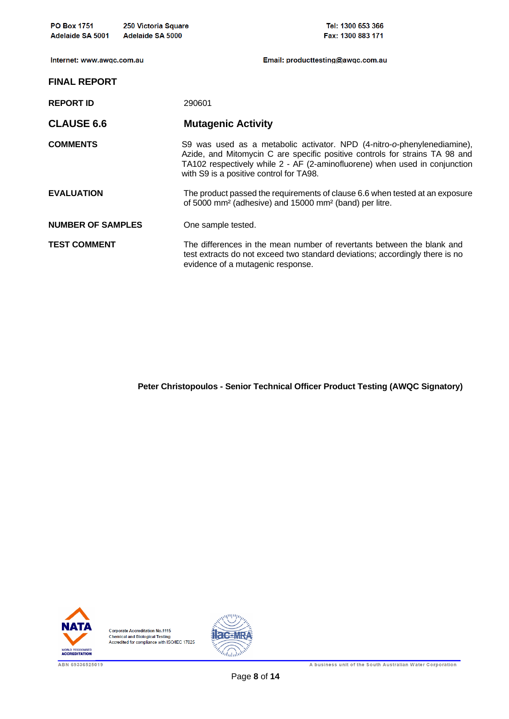| <b>PO Box 1751</b><br>Adelaide SA 5001 | 250 Victoria Square<br>Adelaide SA 5000 | Tel: 1300 653 366<br>Fax: 1300 883 171                                                                                                                                                                                                                                          |
|----------------------------------------|-----------------------------------------|---------------------------------------------------------------------------------------------------------------------------------------------------------------------------------------------------------------------------------------------------------------------------------|
| Internet: www.awgc.com.au              |                                         | Email: producttesting@awgc.com.au                                                                                                                                                                                                                                               |
| <b>FINAL REPORT</b>                    |                                         |                                                                                                                                                                                                                                                                                 |
| <b>REPORT ID</b>                       |                                         | 290601                                                                                                                                                                                                                                                                          |
| <b>CLAUSE 6.6</b>                      |                                         | <b>Mutagenic Activity</b>                                                                                                                                                                                                                                                       |
| <b>COMMENTS</b>                        |                                         | S9 was used as a metabolic activator. NPD (4-nitro-o-phenylenediamine),<br>Azide, and Mitomycin C are specific positive controls for strains TA 98 and<br>TA102 respectively while 2 - AF (2-aminofluorene) when used in conjunction<br>with S9 is a positive control for TA98. |
| <b>EVALUATION</b>                      |                                         | The product passed the requirements of clause 6.6 when tested at an exposure<br>of 5000 mm <sup>2</sup> (adhesive) and 15000 mm <sup>2</sup> (band) per litre.                                                                                                                  |
| <b>NUMBER OF SAMPLES</b>               |                                         | One sample tested.                                                                                                                                                                                                                                                              |
| <b>TEST COMMENT</b>                    |                                         | The differences in the mean number of revertants between the blank and<br>test extracts do not exceed two standard deviations; accordingly there is no<br>evidence of a mutagenic response.                                                                                     |

**Peter Christopoulos - Senior Technical Officer Product Testing (AWQC Signatory)** 



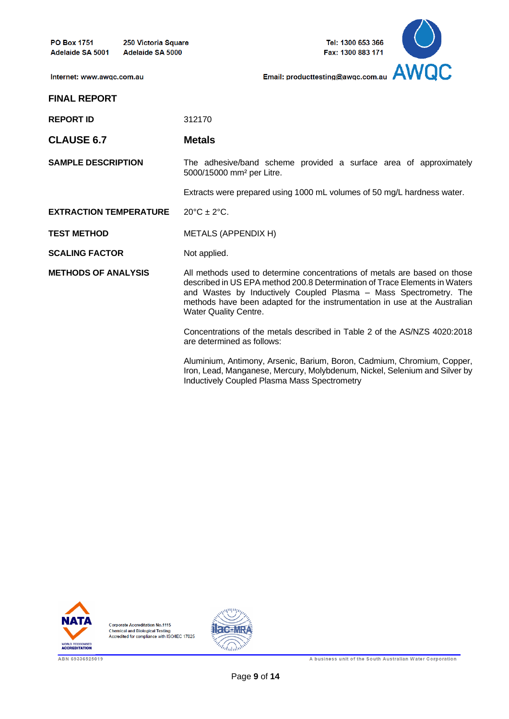250 Victoria Square Adelaide SA 5000





Internet: www.awqc.com.au

| <b>REPORT ID</b>              | 312170                                                                                                                                                                                                                                                                                                                              |
|-------------------------------|-------------------------------------------------------------------------------------------------------------------------------------------------------------------------------------------------------------------------------------------------------------------------------------------------------------------------------------|
| <b>CLAUSE 6.7</b>             | <b>Metals</b>                                                                                                                                                                                                                                                                                                                       |
| <b>SAMPLE DESCRIPTION</b>     | The adhesive/band scheme provided a surface area of approximately<br>5000/15000 mm <sup>2</sup> per Litre.                                                                                                                                                                                                                          |
|                               | Extracts were prepared using 1000 mL volumes of 50 mg/L hardness water.                                                                                                                                                                                                                                                             |
| <b>EXTRACTION TEMPERATURE</b> | $20^{\circ}C \pm 2^{\circ}C$ .                                                                                                                                                                                                                                                                                                      |
| <b>TEST METHOD</b>            | METALS (APPENDIX H)                                                                                                                                                                                                                                                                                                                 |
| <b>SCALING FACTOR</b>         | Not applied.                                                                                                                                                                                                                                                                                                                        |
| <b>METHODS OF ANALYSIS</b>    | All methods used to determine concentrations of metals are based on those<br>described in US EPA method 200.8 Determination of Trace Elements in Waters<br>and Wastes by Inductively Coupled Plasma – Mass Spectrometry. The<br>methods have been adapted for the instrumentation in use at the Australian<br>Water Quality Centre. |
|                               | Concentrations of the metals described in Table 2 of the AS/NZS 4020:2018<br>are determined as follows:                                                                                                                                                                                                                             |
|                               | Aluminium, Antimony, Arsenic, Barium, Boron, Cadmium, Chromium, Copper,<br>Iron, Lead, Manganese, Mercury, Molybdenum, Nickel, Selenium and Silver by                                                                                                                                                                               |

Inductively Coupled Plasma Mass Spectrometry



Corporate Accreditation No.1115<br>Chemical and Biological Testing<br>Accredited for compliance with ISO/IEC 17025

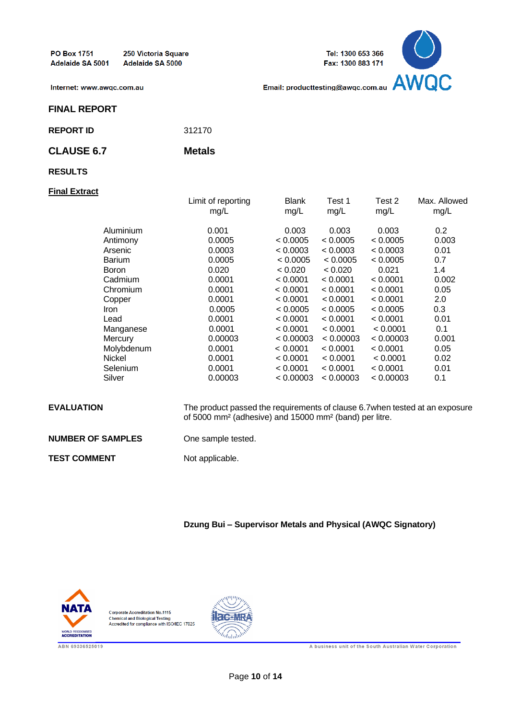250 Victoria Square Adelaide SA 5000





Internet: www.awqc.com.au

#### **FINAL REPORT**

**REPORT ID** 312170

### **CLAUSE 6.7 Metals**

#### **RESULTS**

#### **Final Extract**

|               | Limit of reporting<br>mg/L | <b>Blank</b><br>mg/L | Test 1<br>mg/L | Test 2<br>mg/L | Max. Allowed<br>mg/L |
|---------------|----------------------------|----------------------|----------------|----------------|----------------------|
| Aluminium     | 0.001                      | 0.003                | 0.003          | 0.003          | 0.2                  |
| Antimony      | 0.0005                     | < 0.0005             | < 0.0005       | < 0.0005       | 0.003                |
| Arsenic       | 0.0003                     | < 0.0003             | < 0.0003       | < 0.0003       | 0.01                 |
| <b>Barium</b> | 0.0005                     | < 0.0005             | < 0.0005       | < 0.0005       | 0.7                  |
| <b>Boron</b>  | 0.020                      | < 0.020              | < 0.020        | 0.021          | 1.4                  |
| Cadmium       | 0.0001                     | < 0.0001             | < 0.0001       | < 0.0001       | 0.002                |
| Chromium      | 0.0001                     | < 0.0001             | < 0.0001       | < 0.0001       | 0.05                 |
| Copper        | 0.0001                     | < 0.0001             | < 0.0001       | < 0.0001       | 2.0                  |
| <i>Iron</i>   | 0.0005                     | < 0.0005             | < 0.0005       | < 0.0005       | 0.3                  |
| Lead          | 0.0001                     | < 0.0001             | < 0.0001       | < 0.0001       | 0.01                 |
| Manganese     | 0.0001                     | < 0.0001             | < 0.0001       | < 0.0001       | 0.1                  |
| Mercury       | 0.00003                    | < 0.00003            | < 0.00003      | < 0.00003      | 0.001                |
| Molybdenum    | 0.0001                     | < 0.0001             | < 0.0001       | < 0.0001       | 0.05                 |
| Nickel        | 0.0001                     | < 0.0001             | < 0.0001       | < 0.0001       | 0.02                 |
| Selenium      | 0.0001                     | < 0.0001             | < 0.0001       | < 0.0001       | 0.01                 |
| Silver        | 0.00003                    | < 0.00003            | < 0.00003      | < 0.00003      | 0.1                  |

| <b>EVALUATION</b>        | The product passed the requirements of clause 6.7 when tested at an exposure<br>of 5000 mm <sup>2</sup> (adhesive) and 15000 mm <sup>2</sup> (band) per litre. |
|--------------------------|----------------------------------------------------------------------------------------------------------------------------------------------------------------|
| <b>NUMBER OF SAMPLES</b> | One sample tested.                                                                                                                                             |
| TEST COMMENT             | Not applicable.                                                                                                                                                |

**Dzung Bui – Supervisor Metals and Physical (AWQC Signatory)**



**Corporate Accreditation No.1115** Chemical and Biological Testing<br>Accredited for compliance with ISO/IEC 17025



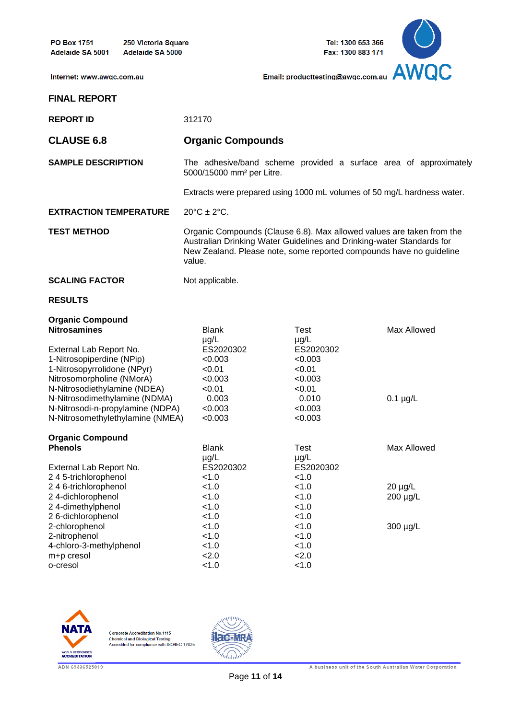**PO Box 1751** 250 Victoria Square Adelaide SA 5000 Adelaide SA 5001



Internet: www.awqc.com.au

**FINAL REPORT**

| <b>REPORT ID</b>                                                                                                                                 | 312170                                                                                                                                                                                                                          |                                                                  |                          |  |
|--------------------------------------------------------------------------------------------------------------------------------------------------|---------------------------------------------------------------------------------------------------------------------------------------------------------------------------------------------------------------------------------|------------------------------------------------------------------|--------------------------|--|
| <b>CLAUSE 6.8</b>                                                                                                                                | <b>Organic Compounds</b>                                                                                                                                                                                                        |                                                                  |                          |  |
| <b>SAMPLE DESCRIPTION</b>                                                                                                                        | The adhesive/band scheme provided a surface area of approximately<br>5000/15000 mm <sup>2</sup> per Litre.                                                                                                                      |                                                                  |                          |  |
|                                                                                                                                                  | Extracts were prepared using 1000 mL volumes of 50 mg/L hardness water.                                                                                                                                                         |                                                                  |                          |  |
| <b>EXTRACTION TEMPERATURE</b>                                                                                                                    | $20^{\circ}$ C ± $2^{\circ}$ C.                                                                                                                                                                                                 |                                                                  |                          |  |
| <b>TEST METHOD</b>                                                                                                                               | Organic Compounds (Clause 6.8). Max allowed values are taken from the<br>Australian Drinking Water Guidelines and Drinking-water Standards for<br>New Zealand. Please note, some reported compounds have no guideline<br>value. |                                                                  |                          |  |
| <b>SCALING FACTOR</b>                                                                                                                            | Not applicable.                                                                                                                                                                                                                 |                                                                  |                          |  |
| <b>RESULTS</b>                                                                                                                                   |                                                                                                                                                                                                                                 |                                                                  |                          |  |
| <b>Organic Compound</b><br><b>Nitrosamines</b>                                                                                                   | <b>Blank</b>                                                                                                                                                                                                                    | Test                                                             | Max Allowed              |  |
| External Lab Report No.<br>1-Nitrosopiperdine (NPip)<br>1-Nitrosopyrrolidone (NPyr)<br>Nitrosomorpholine (NMorA)<br>N-Nitrosodiethylamine (NDEA) | $\mu$ g/L<br>ES2020302<br>< 0.003<br>< 0.01<br>< 0.003<br>< 0.01                                                                                                                                                                | $\mu$ g/L<br>ES2020302<br>< 0.003<br>< 0.01<br>< 0.003<br>< 0.01 |                          |  |
| N-Nitrosodimethylamine (NDMA)<br>N-Nitrosodi-n-propylamine (NDPA)<br>N-Nitrosomethylethylamine (NMEA)                                            | 0.003<br>< 0.003<br>< 0.003                                                                                                                                                                                                     | 0.010<br>< 0.003<br>< 0.003                                      | $0.1 \mu g/L$            |  |
| <b>Organic Compound</b><br><b>Phenols</b><br>External Lab Report No.                                                                             | <b>Blank</b><br>$\mu$ g/L<br>ES2020302                                                                                                                                                                                          | Test<br>$\mu$ g/L<br>ES2020302                                   | Max Allowed              |  |
| 245-trichlorophenol<br>246-trichlorophenol<br>24-dichlorophenol<br>24-dimethylphenol<br>26-dichlorophenol                                        | < 1.0<br>< 1.0<br>< 1.0<br>< 1.0<br>< 1.0                                                                                                                                                                                       | < 1.0<br>< 1.0<br>< 1.0<br>< 1.0<br>< 1.0                        | $20 \mu g/L$<br>200 µg/L |  |
| 2-chlorophenol<br>2-nitrophenol<br>4-chloro-3-methylphenol<br>m+p cresol<br>o-cresol                                                             | < 1.0<br>< 1.0<br>< 1.0<br>2.0<br>< 1.0                                                                                                                                                                                         | < 1.0<br>< 1.0<br>< 1.0<br>2.0<br>< 1.0                          | 300 µg/L                 |  |



Corporate Accreditation No.1115<br>Chemical and Biological Testing<br>Accredited for compliance with ISO/IEC 17025

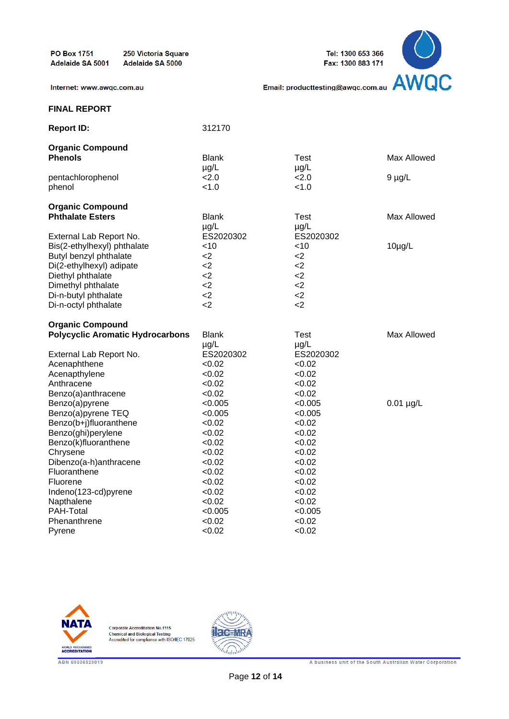

Internet: www.awqc.com.au

#### **FINAL REPORT**

| <b>Report ID:</b>                       | 312170       |           |                |
|-----------------------------------------|--------------|-----------|----------------|
| <b>Organic Compound</b>                 |              |           |                |
| <b>Phenols</b>                          | <b>Blank</b> | Test      | Max Allowed    |
|                                         | $\mu$ g/L    | $\mu$ g/L |                |
| pentachlorophenol                       | 2.0          | 2.0       | $9 \mu g/L$    |
| phenol                                  | < 1.0        | < 1.0     |                |
| <b>Organic Compound</b>                 |              |           |                |
| <b>Phthalate Esters</b>                 | <b>Blank</b> | Test      | Max Allowed    |
|                                         | $\mu$ g/L    | $\mu$ g/L |                |
| External Lab Report No.                 | ES2020302    | ES2020302 |                |
| Bis(2-ethylhexyl) phthalate             | $<$ 10       | $<$ 10    | $10\mu g/L$    |
| Butyl benzyl phthalate                  | $2$          | $<$ 2     |                |
| Di(2-ethylhexyl) adipate                | $<$ 2        | $<$ 2     |                |
| Diethyl phthalate                       | $<$ 2        | $<$ 2     |                |
| Dimethyl phthalate                      | $<$ 2        | $<$ 2     |                |
| Di-n-butyl phthalate                    | $<$ 2        | $<$ 2     |                |
| Di-n-octyl phthalate                    | $<$ 2        | $<$ 2     |                |
| <b>Organic Compound</b>                 |              |           |                |
| <b>Polycyclic Aromatic Hydrocarbons</b> | <b>Blank</b> | Test      | Max Allowed    |
|                                         | $\mu$ g/L    | $\mu$ g/L |                |
| External Lab Report No.                 | ES2020302    | ES2020302 |                |
| Acenaphthene                            | < 0.02       | < 0.02    |                |
| Acenapthylene                           | < 0.02       | < 0.02    |                |
| Anthracene                              | < 0.02       | < 0.02    |                |
| Benzo(a)anthracene                      | < 0.02       | < 0.02    |                |
| Benzo(a)pyrene                          | < 0.005      | < 0.005   | $0.01 \mu g/L$ |
| Benzo(a)pyrene TEQ                      | < 0.005      | < 0.005   |                |
| Benzo(b+j)fluoranthene                  | < 0.02       | < 0.02    |                |
| Benzo(ghi)perylene                      | < 0.02       | < 0.02    |                |
| Benzo(k)fluoranthene                    | <0.02        | < 0.02    |                |
| Chrysene                                | < 0.02       | < 0.02    |                |
| Dibenzo(a-h)anthracene                  | < 0.02       | < 0.02    |                |
| Fluoranthene                            | < 0.02       | < 0.02    |                |
| Fluorene                                | < 0.02       | < 0.02    |                |
| Indeno(123-cd)pyrene                    | < 0.02       | < 0.02    |                |
| Napthalene                              | < 0.02       | < 0.02    |                |
| PAH-Total                               | < 0.005      | < 0.005   |                |
| Phenanthrene                            | < 0.02       | < 0.02    |                |
| Pyrene                                  | < 0.02       | < 0.02    |                |



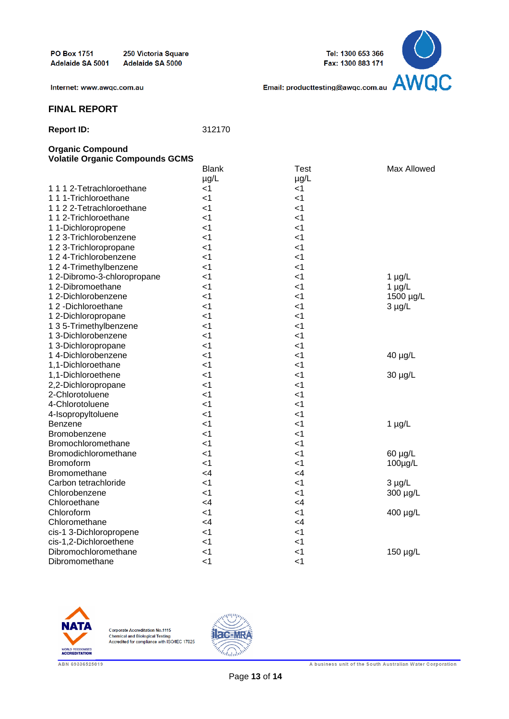Tel: 1300 653 366 Fax: 1300 883 171



Internet: www.awqc.com.au

# **FINAL REPORT**

| 312170 |
|--------|
|        |

#### **Organic Compound Volatile Organic Compounds GCMS**

|                             | <b>Blank</b> | <b>Test</b> | Max Allowed |
|-----------------------------|--------------|-------------|-------------|
|                             | µg/L         | $\mu$ g/L   |             |
| 1112-Tetrachloroethane      | $<$ 1        | $<$ 1       |             |
| 1 1 1-Trichloroethane       | $\leq$ 1     | $<$ 1       |             |
| 1122-Tetrachloroethane      | $<$ 1        | $<$ 1       |             |
| 1 1 2-Trichloroethane       | $<$ 1        | $<$ 1       |             |
| 11-Dichloropropene          | < 1          | < 1         |             |
| 1 2 3-Trichlorobenzene      | $<$ 1        | $<$ 1       |             |
| 1 2 3-Trichloropropane      | $<$ 1        | $<$ 1       |             |
| 1 2 4-Trichlorobenzene      | $<$ 1        | $<$ 1       |             |
| 1 2 4-Trimethylbenzene      | ا>           | ا>          |             |
| 1 2-Dibromo-3-chloropropane | $\leq$ 1     | < 1         | $1 \mu g/L$ |
| 1 2-Dibromoethane           | $<$ 1        | < 1         | $1 \mu g/L$ |
| 1 2-Dichlorobenzene         | $\leq$ 1     | $<$ 1       | 1500 µg/L   |
| 12-Dichloroethane           | $<$ 1        | $<$ 1       | $3 \mu g/L$ |
| 1 2-Dichloropropane         | $<$ 1        | $<$ 1       |             |
| 1 3 5-Trimethylbenzene      | $<$ 1        | $<$ 1       |             |
| 1 3-Dichlorobenzene         | $<$ 1        | $<$ 1       |             |
| 1 3-Dichloropropane         | $<$ 1        | < 1         |             |
| 14-Dichlorobenzene          | $<$ 1        | $<$ 1       | 40 µg/L     |
| 1,1-Dichloroethane          | $<$ 1        | $<$ 1       |             |
| 1,1-Dichloroethene          | $<$ 1        | $<$ 1       | 30 µg/L     |
| 2,2-Dichloropropane         | $<$ 1        | $<$ 1       |             |
| 2-Chlorotoluene             | $\leq$ 1     | $<$ 1       |             |
| 4-Chlorotoluene             | $\leq$ 1     | < 1         |             |
| 4-Isopropyltoluene          | $\leq$ 1     | $<$ 1       |             |
| Benzene                     | $\leq$ 1     | $\leq$ 1    | $1 \mu g/L$ |
| Bromobenzene                | $<$ 1        | < 1         |             |
| Bromochloromethane          | $<$ 1        | $<$ 1       |             |
| Bromodichloromethane        | $\leq$ 1     | < 1         | 60 µg/L     |
| <b>Bromoform</b>            | < 1          | $<$ 1       | 100µg/L     |
| <b>Bromomethane</b>         | $\leq 4$     | <4          |             |
| Carbon tetrachloride        | $<$ 1        | $<$ 1       | $3 \mu g/L$ |
| Chlorobenzene               | $<$ 1        | ا>          | 300 µg/L    |
| Chloroethane                | <4           | $\leq 4$    |             |
| Chloroform                  | $\leq$ 1     | $<$ 1       | 400 µg/L    |
| Chloromethane               | $\leq 4$     | $\leq 4$    |             |
| cis-1 3-Dichloropropene     | $<$ 1        | < 1         |             |
| cis-1,2-Dichloroethene      | $<$ 1        | $<$ 1       |             |
| Dibromochloromethane        | $\leq$ 1     | $<$ 1       | 150 µg/L    |
| Dibromomethane              | $\leq$ 1     | $\leq$ 1    |             |